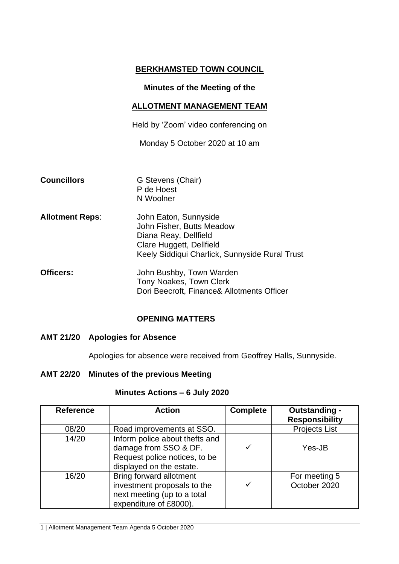# **BERKHAMSTED TOWN COUNCIL**

## **Minutes of the Meeting of the**

## **ALLOTMENT MANAGEMENT TEAM**

Held by 'Zoom' video conferencing on

Monday 5 October 2020 at 10 am

| <b>Councillors</b> | G Stevens (Chair) |  |
|--------------------|-------------------|--|
|                    | P de Hoest        |  |
|                    | N Woolner         |  |

- **Allotment Reps**: John Eaton, Sunnyside John Fisher, Butts Meadow Diana Reay, Dellfield Clare Huggett, Dellfield Keely Siddiqui Charlick, Sunnyside Rural Trust
- **Officers:** John Bushby, Town Warden Tony Noakes, Town Clerk Dori Beecroft, Finance& Allotments Officer

# **OPENING MATTERS**

#### **AMT 21/20 Apologies for Absence**

Apologies for absence were received from Geoffrey Halls, Sunnyside.

#### **AMT 22/20 Minutes of the previous Meeting**

| <b>Reference</b> | <b>Action</b>                                                                                                        | <b>Complete</b> | Outstanding -<br><b>Responsibility</b> |
|------------------|----------------------------------------------------------------------------------------------------------------------|-----------------|----------------------------------------|
| 08/20            | Road improvements at SSO.                                                                                            |                 | <b>Projects List</b>                   |
| 14/20            | Inform police about thefts and<br>damage from SSO & DF.<br>Request police notices, to be<br>displayed on the estate. | ✓               | Yes-JB                                 |
| 16/20            | Bring forward allotment<br>investment proposals to the<br>next meeting (up to a total<br>expenditure of £8000).      | ✓               | For meeting 5<br>October 2020          |

#### **Minutes Actions – 6 July 2020**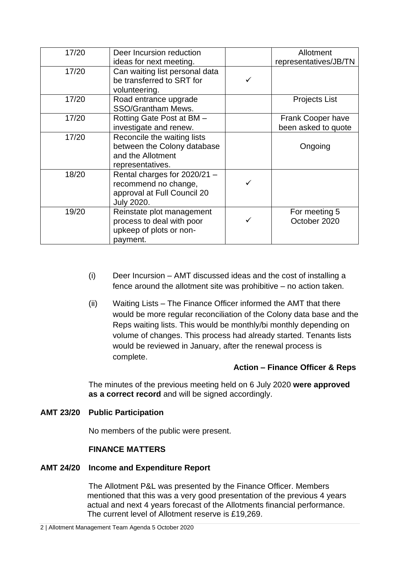| 17/20 | Deer Incursion reduction       | Allotment             |
|-------|--------------------------------|-----------------------|
|       | ideas for next meeting.        | representatives/JB/TN |
| 17/20 | Can waiting list personal data |                       |
|       | be transferred to SRT for      |                       |
|       | volunteering.                  |                       |
| 17/20 | Road entrance upgrade          | <b>Projects List</b>  |
|       | SSO/Grantham Mews.             |                       |
| 17/20 | Rotting Gate Post at BM -      | Frank Cooper have     |
|       | investigate and renew.         | been asked to quote   |
| 17/20 | Reconcile the waiting lists    |                       |
|       | between the Colony database    | Ongoing               |
|       | and the Allotment              |                       |
|       | representatives.               |                       |
| 18/20 | Rental charges for 2020/21 -   |                       |
|       | recommend no change,           |                       |
|       | approval at Full Council 20    |                       |
|       | <b>July 2020.</b>              |                       |
| 19/20 | Reinstate plot management      | For meeting 5         |
|       | process to deal with poor      | October 2020          |
|       | upkeep of plots or non-        |                       |
|       | payment.                       |                       |

- (i) Deer Incursion AMT discussed ideas and the cost of installing a fence around the allotment site was prohibitive – no action taken.
- (ii) Waiting Lists The Finance Officer informed the AMT that there would be more regular reconciliation of the Colony data base and the Reps waiting lists. This would be monthly/bi monthly depending on volume of changes. This process had already started. Tenants lists would be reviewed in January, after the renewal process is complete.

#### **Action – Finance Officer & Reps**

The minutes of the previous meeting held on 6 July 2020 **were approved as a correct record** and will be signed accordingly.

## **AMT 23/20 Public Participation**

No members of the public were present.

#### **FINANCE MATTERS**

#### **AMT 24/20 Income and Expenditure Report**

The Allotment P&L was presented by the Finance Officer. Members mentioned that this was a very good presentation of the previous 4 years actual and next 4 years forecast of the Allotments financial performance. The current level of Allotment reserve is £19,269.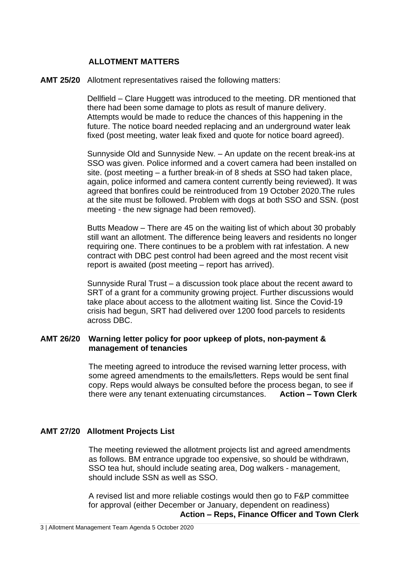## **ALLOTMENT MATTERS**

#### **AMT 25/20** Allotment representatives raised the following matters:

Dellfield – Clare Huggett was introduced to the meeting. DR mentioned that there had been some damage to plots as result of manure delivery. Attempts would be made to reduce the chances of this happening in the future. The notice board needed replacing and an underground water leak fixed (post meeting, water leak fixed and quote for notice board agreed).

Sunnyside Old and Sunnyside New. – An update on the recent break-ins at SSO was given. Police informed and a covert camera had been installed on site. (post meeting – a further break-in of 8 sheds at SSO had taken place, again, police informed and camera content currently being reviewed). It was agreed that bonfires could be reintroduced from 19 October 2020.The rules at the site must be followed. Problem with dogs at both SSO and SSN. (post meeting - the new signage had been removed).

Butts Meadow – There are 45 on the waiting list of which about 30 probably still want an allotment. The difference being leavers and residents no longer requiring one. There continues to be a problem with rat infestation. A new contract with DBC pest control had been agreed and the most recent visit report is awaited (post meeting – report has arrived).

Sunnyside Rural Trust – a discussion took place about the recent award to SRT of a grant for a community growing project. Further discussions would take place about access to the allotment waiting list. Since the Covid-19 crisis had begun, SRT had delivered over 1200 food parcels to residents across DBC.

#### **AMT 26/20 Warning letter policy for poor upkeep of plots, non-payment & management of tenancies**

The meeting agreed to introduce the revised warning letter process, with some agreed amendments to the emails/letters. Reps would be sent final copy. Reps would always be consulted before the process began, to see if there were any tenant extenuating circumstances. **Action – Town Clerk**

#### **AMT 27/20 Allotment Projects List**

The meeting reviewed the allotment projects list and agreed amendments as follows. BM entrance upgrade too expensive, so should be withdrawn, SSO tea hut, should include seating area, Dog walkers - management, should include SSN as well as SSO.

A revised list and more reliable costings would then go to F&P committee for approval (either December or January, dependent on readiness) **Action – Reps, Finance Officer and Town Clerk**